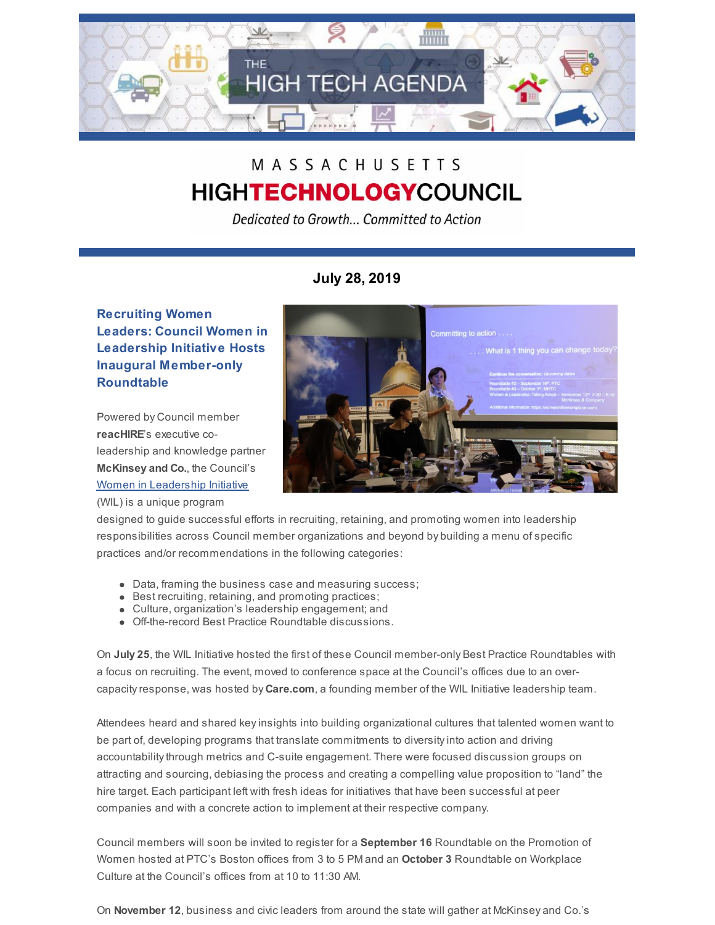

# MASSACHUSETTS **HIGHTECHNOLOGYCOUNCIL**

Dedicated to Growth... Committed to Action

## **July 28, 2019**

### **Recruiting Women Leaders: Council Women in Leadership Initiative Hosts Inaugural Member-only Roundtable**

Powered by Council member **reacHIRE**'s executive coleadership and knowledge partner **McKinsey and Co.**, the Council's Women in [Leadership](http://www.mhtc.org/advocacy/women-in-leadership/) Initiative (WIL) is a unique program



designed to guide successful efforts in recruiting, retaining, and promoting women into leadership responsibilities across Council member organizations and beyond by building a menu of specific practices and/or recommendations in the following categories:

- Data, framing the business case and measuring success;
- Best recruiting, retaining, and promoting practices;
- Culture, organization's leadership engagement; and
- Off-the-record Best Practice Roundtable discussions.

On **July 25**, the WIL Initiative hosted the first of these Council member-only Best Practice Roundtables with a focus on recruiting. The event, moved to conference space at the Council's offices due to an overcapacityresponse, was hosted by **Care.com**, a founding member of the WIL Initiative leadership team.

Attendees heard and shared keyinsights into building organizational cultures that talented women want to be part of, developing programs that translate commitments to diversityinto action and driving accountabilitythrough metrics and C-suite engagement. There were focused discussion groups on attracting and sourcing, debiasing the process and creating a compelling value proposition to "land" the hire target. Each participant left with fresh ideas for initiatives that have been successful at peer companies and with a concrete action to implement at their respective company.

Council members will soon be invited to register for a **September 16** Roundtable on the Promotion of Women hosted at PTC's Boston offices from 3 to 5 PM and an **October 3** Roundtable on Workplace Culture at the Council's offices from at 10 to 11:30 AM.

On **November 12**, business and civic leaders from around the state will gather at McKinsey and Co.'s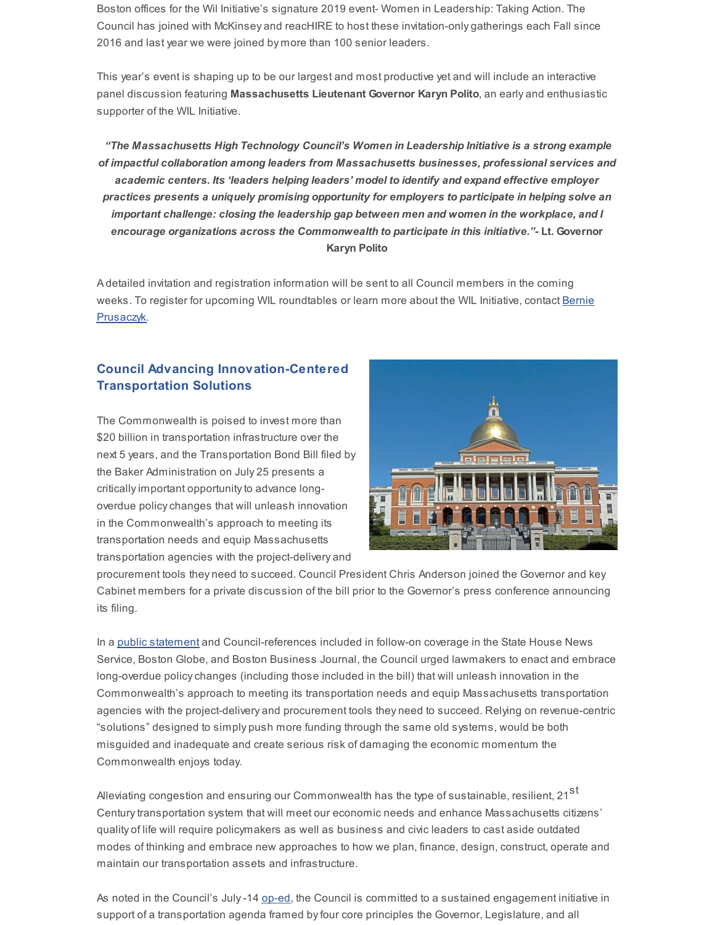Boston offices for the Wil Initiative's signature 2019 event- Women in Leadership: Taking Action. The Council has joined with McKinsey and reacHIRE to host these invitation-only gatherings each Fall since 2016 and last year we were joined by more than 100 senior leaders.

This year's event is shaping up to be our largest and most productive yet and will include an interactive panel discussion featuring **Massachusetts Lieutenant Governor Karyn Polito**, an early and enthusiastic supporter of the WIL Initiative.

*"The Massachusetts High Technology Council's Women in Leadership Initiative is a strong example of impactful collaboration among leaders from Massachusetts businesses, professional services and academic centers. Its 'leaders helping leaders' model to identify and expand effective employer practices presents a uniquely promising opportunity for employers to participate in helping solve an important challenge: closing the leadership gap between men and women in the workplace, and I encourage organizations across the Commonwealth to participate in this initiative."-* **Lt. Governor Karyn Polito**

A detailed invitation and registration information will be sent to all Council members in the coming weeks. To register for upcoming WIL [roundtables](mailto:bernie@mhtc.org) or learn more about the WIL Initiative, contact Bernie Prusaczyk.

#### **Council Advancing Innovation-Centered Transportation Solutions**

The Commonwealth is poised to invest more than \$20 billion in transportation infrastructure over the next 5 years, and the Transportation Bond Bill filed by the Baker Administration on July 25 presents a critically important opportunity to advance longoverdue policychanges that will unleash innovation in the Commonwealth's approach to meeting its transportation needs and equip Massachusetts transportation agencies with the project-delivery and



procurement tools they need to succeed. Council President Chris Anderson joined the Governor and key Cabinet members for a private discussion of the bill prior to the Governor's press conference announcing its filing.

In a public [statement](http://www.mhtc.org/wp-content/uploads/2019/07/MHTC-Transportation-Bond-Bill-Media-Statement-7.25.19.pdf) and Council-references included in follow-on coverage in the State House News Service, Boston Globe, and Boston Business Journal, the Council urged lawmakers to enact and embrace long-overdue policychanges (including those included in the bill) that will unleash innovation in the Commonwealth's approach to meeting its transportation needs and equip Massachusetts transportation agencies with the project-delivery and procurement tools they need to succeed. Relying on revenue-centric "solutions" designed to simply push more funding through the same old systems, would be both misguided and inadequate and create serious risk of damaging the economic momentum the Commonwealth enjoys today.

Alleviating congestion and ensuring our Commonwealth has the type of sustainable, resilient, 21 $^{\rm st}$ Centurytransportation system that will meet our economic needs and enhance Massachusetts citizens' quality of life will require policymakers as well as business and civic leaders to cast aside outdated modes of thinking and embrace new approaches to how we plan, finance, design, construct, operate and maintain our transportation assets and infrastructure.

As noted in the Council's July-14 [op-ed](http://www.mhtc.org/2019/07/14/by-christopher-r-anderson/), the Council is committed to a sustained engagement initiative in support of a transportation agenda framed by four core principles the Governor, Legislature, and all